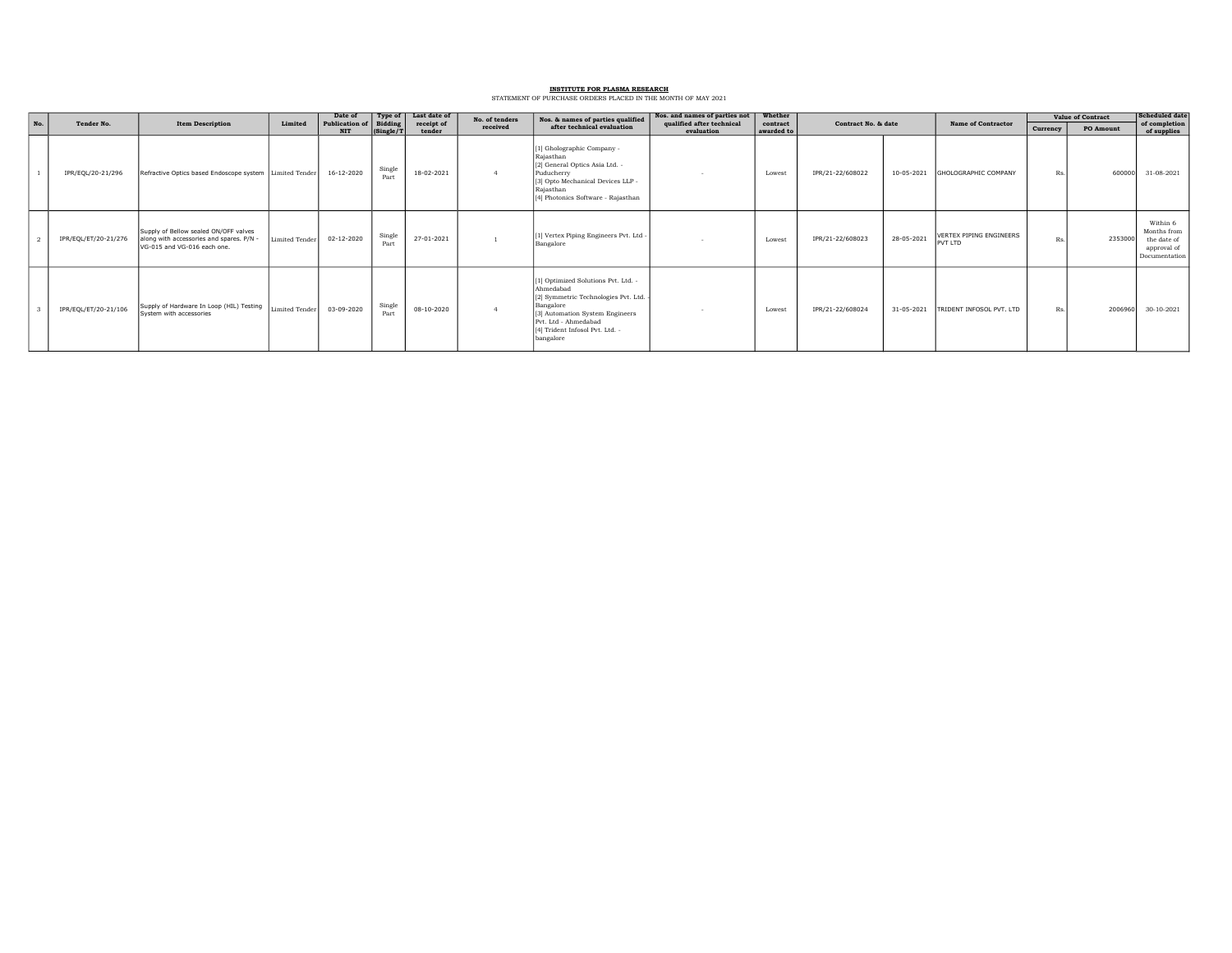## INSTITUTE FOR PLASMA RESEARCH STATEMENT OF PURCHASE ORDERS PLACED IN THE MONTH OF MAY 2021

|     | Tender No.           |                                                                                                                |                | Date of                             | Type of              | Last date of<br>receipt of<br>tender | No. of tenders<br>received | Nos. & names of parties qualified<br>after technical evaluation                                                                                                                                                  | Nos. and names of parties not           | Whether                | Contract No. & date |            |                                           | <b>Value of Contract</b> |           | <b>Scheduled</b> date                                                  |
|-----|----------------------|----------------------------------------------------------------------------------------------------------------|----------------|-------------------------------------|----------------------|--------------------------------------|----------------------------|------------------------------------------------------------------------------------------------------------------------------------------------------------------------------------------------------------------|-----------------------------------------|------------------------|---------------------|------------|-------------------------------------------|--------------------------|-----------|------------------------------------------------------------------------|
| No. |                      | <b>Item Description</b>                                                                                        | Limited        | <b>Publication of</b><br><b>NIT</b> | Bidding<br>(Single/1 |                                      |                            |                                                                                                                                                                                                                  | qualified after technical<br>evaluation | contract<br>awarded to |                     |            | <b>Name of Contractor</b>                 | Currency                 | PO Amount | of completion<br>of supplies                                           |
|     | IPR/EQL/20-21/296    | Refractive Optics based Endoscope system   Limited Tender                                                      |                | 16-12-2020                          | Single<br>Part       | 18-02-2021                           |                            | [1] Gholographic Company -<br>Rajasthan<br>[2] General Optics Asia Ltd. -<br>Puducherry<br>[3] Opto Mechanical Devices LLP -<br>Rajasthan<br>[4] Photonics Software - Rajasthan                                  |                                         | Lowest                 | IPR/21-22/608022    | 10-05-2021 | <b>GHOLOGRAPHIC COMPANY</b>               | Rs.                      | 600000    | 31-08-2021                                                             |
|     | IPR/EQL/ET/20-21/276 | Supply of Bellow sealed ON/OFF valves<br>along with accessories and spares. P/N<br>VG-015 and VG-016 each one. | Limited Tender | $02 - 12 - 2020$                    | Single<br>Part       | 27-01-2021                           |                            | [1] Vertex Piping Engineers Pvt. Ltd -<br>Bangalore                                                                                                                                                              |                                         | Lowest                 | IPR/21-22/608023    | 28-05-2021 | VERTEX PIPING ENGINEERS<br><b>PVT LTD</b> | Rs.                      | 2353000   | Within 6<br>Months from<br>the date of<br>approval of<br>Documentation |
|     | IPR/EQL/ET/20-21/106 | Supply of Hardware In Loop (HIL) Testing<br>System with accessories                                            | Limited Tender | 03-09-2020                          | Single<br>Part       | 08-10-2020                           |                            | [1] Optimized Solutions Pvt. Ltd. -<br>Ahmedabad<br>[2] Symmetric Technologies Pvt. Ltd.<br>Bangalore<br>[3] Automation System Engineers<br>Pvt. Ltd - Ahmedabad<br>[4] Trident Infosol Pvt. Ltd. -<br>bangalore |                                         | Lowest                 | IPR/21-22/608024    | 31-05-2021 | TRIDENT INFOSOL PVT. LTD                  | Rs.                      | 2006960   | 30-10-2021                                                             |